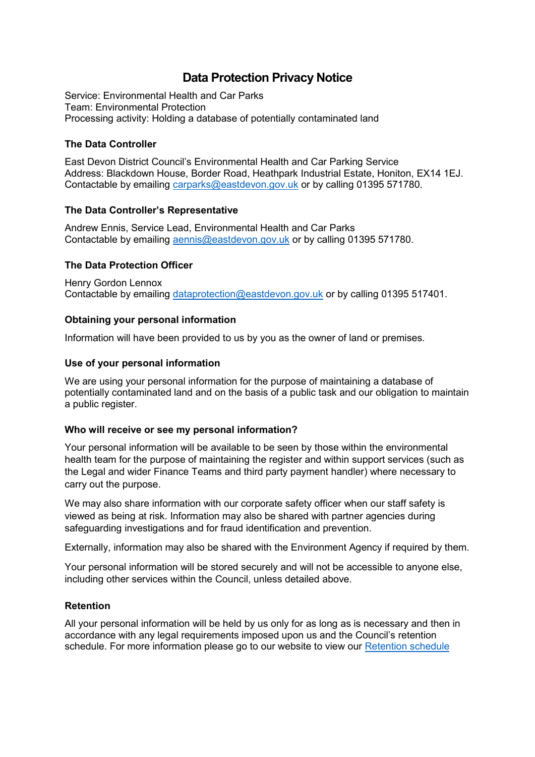# **Data Protection Privacy Notice**

Service: Environmental Health and Car Parks Team: Environmental Protection Processing activity: Holding a database of potentially contaminated land

## **The Data Controller**

East Devon District Council's Environmental Health and Car Parking Service Address: Blackdown House, Border Road, Heathpark Industrial Estate, Honiton, EX14 1EJ. Contactable by emailing [carparks@eastdevon.gov.uk](mailto:carparks@eastdevon.gov.uk) or by calling 01395 571780.

## **The Data Controller's Representative**

Andrew Ennis, Service Lead, Environmental Health and Car Parks Contactable by emailing [aennis@eastdevon.gov.uk](mailto:aennis@eastdevon.gov.uk) or by calling 01395 571780.

## **The Data Protection Officer**

Henry Gordon Lennox Contactable by emailing [dataprotection@eastdevon.gov.uk](mailto:dataprotection@eastdevon.gov.uk) or by calling 01395 517401.

## **Obtaining your personal information**

Information will have been provided to us by you as the owner of land or premises.

### **Use of your personal information**

We are using your personal information for the purpose of maintaining a database of potentially contaminated land and on the basis of a public task and our obligation to maintain a public register.

### **Who will receive or see my personal information?**

Your personal information will be available to be seen by those within the environmental health team for the purpose of maintaining the register and within support services (such as the Legal and wider Finance Teams and third party payment handler) where necessary to carry out the purpose.

We may also share information with our corporate safety officer when our staff safety is viewed as being at risk. Information may also be shared with partner agencies during safeguarding investigations and for fraud identification and prevention.

Externally, information may also be shared with the Environment Agency if required by them.

Your personal information will be stored securely and will not be accessible to anyone else, including other services within the Council, unless detailed above.

### **Retention**

All your personal information will be held by us only for as long as is necessary and then in accordance with any legal requirements imposed upon us and the Council's retention schedule. For more information please go to our website to view our [Retention schedule](http://eastdevon.gov.uk/access-to-information/data-protection/document-retention-schedules/)